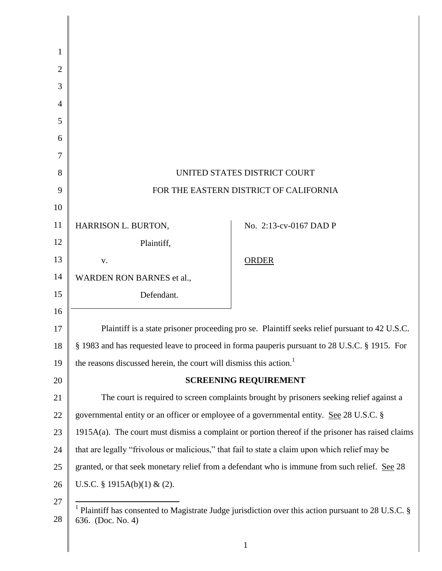| 1              |                                                                                         |                                                                                                                   |
|----------------|-----------------------------------------------------------------------------------------|-------------------------------------------------------------------------------------------------------------------|
| $\overline{2}$ |                                                                                         |                                                                                                                   |
| 3              |                                                                                         |                                                                                                                   |
| 4              |                                                                                         |                                                                                                                   |
| 5              |                                                                                         |                                                                                                                   |
| 6              |                                                                                         |                                                                                                                   |
| 7              |                                                                                         |                                                                                                                   |
| 8              |                                                                                         | UNITED STATES DISTRICT COURT                                                                                      |
| 9              |                                                                                         | FOR THE EASTERN DISTRICT OF CALIFORNIA                                                                            |
| 10             |                                                                                         |                                                                                                                   |
| 11             | HARRISON L. BURTON,                                                                     | No. 2:13-cv-0167 DAD P                                                                                            |
| 12             | Plaintiff,                                                                              |                                                                                                                   |
| 13             | V.                                                                                      | <b>ORDER</b>                                                                                                      |
| 14             | WARDEN RON BARNES et al.,                                                               |                                                                                                                   |
| 15             | Defendant.                                                                              |                                                                                                                   |
| 16             |                                                                                         |                                                                                                                   |
| 17             |                                                                                         | Plaintiff is a state prisoner proceeding pro se. Plaintiff seeks relief pursuant to 42 U.S.C.                     |
| 18             |                                                                                         | § 1983 and has requested leave to proceed in forma pauperis pursuant to 28 U.S.C. § 1915. For                     |
| 19             | the reasons discussed herein, the court will dismiss this action. <sup>1</sup>          |                                                                                                                   |
| 20             |                                                                                         | <b>SCREENING REQUIREMENT</b>                                                                                      |
| 21             |                                                                                         | The court is required to screen complaints brought by prisoners seeking relief against a                          |
| 22             | governmental entity or an officer or employee of a governmental entity. See 28 U.S.C. § |                                                                                                                   |
| 23             |                                                                                         | $1915A(a)$ . The court must dismiss a complaint or portion thereof if the prisoner has raised claims              |
| 24             |                                                                                         | that are legally "frivolous or malicious," that fail to state a claim upon which relief may be                    |
| 25             |                                                                                         | granted, or that seek monetary relief from a defendant who is immune from such relief. See 28                     |
| 26             | U.S.C. § 1915A(b)(1) & (2).                                                             |                                                                                                                   |
| 27             |                                                                                         | <sup>1</sup> Plaintiff has consented to Magistrate Judge jurisdiction over this action pursuant to 28 U.S.C. $\S$ |
| 28             | 636. (Doc. No. 4)                                                                       |                                                                                                                   |
|                |                                                                                         |                                                                                                                   |

∥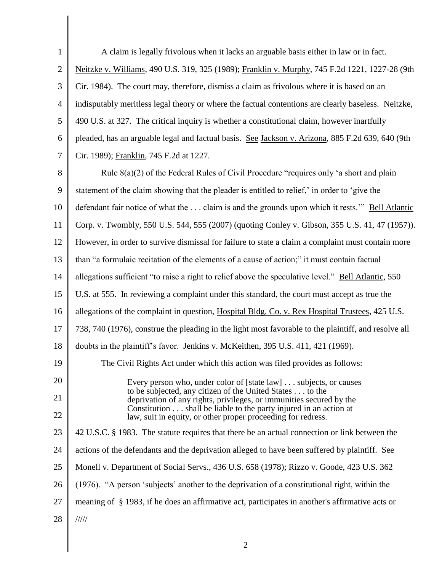| $\mathbf{1}$   | A claim is legally frivolous when it lacks an arguable basis either in law or in fact.                                            |
|----------------|-----------------------------------------------------------------------------------------------------------------------------------|
| $\overline{2}$ | Neitzke v. Williams, 490 U.S. 319, 325 (1989); Franklin v. Murphy, 745 F.2d 1221, 1227-28 (9th                                    |
| 3              | Cir. 1984). The court may, therefore, dismiss a claim as frivolous where it is based on an                                        |
| 4              | indisputably meritless legal theory or where the factual contentions are clearly baseless. Neitzke,                               |
| 5              | 490 U.S. at 327. The critical inquiry is whether a constitutional claim, however inartfully                                       |
| 6              | pleaded, has an arguable legal and factual basis. See Jackson v. Arizona, 885 F.2d 639, 640 (9th                                  |
| 7              | Cir. 1989); Franklin, 745 F.2d at 1227.                                                                                           |
| 8              | Rule 8(a)(2) of the Federal Rules of Civil Procedure "requires only 'a short and plain                                            |
| 9              | statement of the claim showing that the pleader is entitled to relief,' in order to 'give the                                     |
| 10             | defendant fair notice of what the  claim is and the grounds upon which it rests." Bell Atlantic                                   |
| 11             | Corp. v. Twombly, 550 U.S. 544, 555 (2007) (quoting Conley v. Gibson, 355 U.S. 41, 47 (1957)).                                    |
| 12             | However, in order to survive dismissal for failure to state a claim a complaint must contain more                                 |
| 13             | than "a formulaic recitation of the elements of a cause of action;" it must contain factual                                       |
| 14             | allegations sufficient "to raise a right to relief above the speculative level." Bell Atlantic, 550                               |
| 15             | U.S. at 555. In reviewing a complaint under this standard, the court must accept as true the                                      |
| 16             | allegations of the complaint in question, Hospital Bldg. Co. v. Rex Hospital Trustees, 425 U.S.                                   |
| 17             | 738, 740 (1976), construe the pleading in the light most favorable to the plaintiff, and resolve all                              |
| 18             | doubts in the plaintiff's favor. Jenkins v. McKeithen, 395 U.S. 411, 421 (1969).                                                  |
| 19             | The Civil Rights Act under which this action was filed provides as follows:                                                       |
| 20             | Every person who, under color of [state law] subjects, or causes                                                                  |
| 21             | to be subjected, any citizen of the United States to the<br>deprivation of any rights, privileges, or immunities secured by the   |
| 22             | Constitution shall be liable to the party injured in an action at<br>law, suit in equity, or other proper proceeding for redress. |
| 23             | 42 U.S.C. § 1983. The statute requires that there be an actual connection or link between the                                     |
| 24             | actions of the defendants and the deprivation alleged to have been suffered by plaintiff. See                                     |
| 25             | Monell v. Department of Social Servs., 436 U.S. 658 (1978); Rizzo v. Goode, 423 U.S. 362                                          |
| 26             | (1976). "A person 'subjects' another to the deprivation of a constitutional right, within the                                     |
| 27             | meaning of § 1983, if he does an affirmative act, participates in another's affirmative acts or                                   |
| 28             | $\frac{1}{1}$                                                                                                                     |
|                |                                                                                                                                   |

2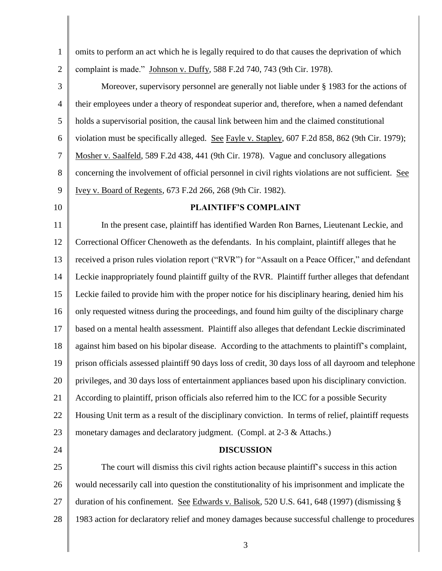1 2 omits to perform an act which he is legally required to do that causes the deprivation of which complaint is made." Johnson v. Duffy, 588 F.2d 740, 743 (9th Cir. 1978).

3 4 5 6 7 8 9 Moreover, supervisory personnel are generally not liable under § 1983 for the actions of their employees under a theory of respondeat superior and, therefore, when a named defendant holds a supervisorial position, the causal link between him and the claimed constitutional violation must be specifically alleged. See Fayle v. Stapley, 607 F.2d 858, 862 (9th Cir. 1979); Mosher v. Saalfeld, 589 F.2d 438, 441 (9th Cir. 1978). Vague and conclusory allegations concerning the involvement of official personnel in civil rights violations are not sufficient. See Ivey v. Board of Regents, 673 F.2d 266, 268 (9th Cir. 1982).

10

## **PLAINTIFF'S COMPLAINT**

11 12 13 14 15 16 17 18 19 20 21 22 23 In the present case, plaintiff has identified Warden Ron Barnes, Lieutenant Leckie, and Correctional Officer Chenoweth as the defendants. In his complaint, plaintiff alleges that he received a prison rules violation report ("RVR") for "Assault on a Peace Officer," and defendant Leckie inappropriately found plaintiff guilty of the RVR. Plaintiff further alleges that defendant Leckie failed to provide him with the proper notice for his disciplinary hearing, denied him his only requested witness during the proceedings, and found him guilty of the disciplinary charge based on a mental health assessment. Plaintiff also alleges that defendant Leckie discriminated against him based on his bipolar disease. According to the attachments to plaintiff's complaint, prison officials assessed plaintiff 90 days loss of credit, 30 days loss of all dayroom and telephone privileges, and 30 days loss of entertainment appliances based upon his disciplinary conviction. According to plaintiff, prison officials also referred him to the ICC for a possible Security Housing Unit term as a result of the disciplinary conviction. In terms of relief, plaintiff requests monetary damages and declaratory judgment. (Compl. at 2-3 & Attachs.)

24

## **DISCUSSION**

25 26 27 28 The court will dismiss this civil rights action because plaintiff's success in this action would necessarily call into question the constitutionality of his imprisonment and implicate the duration of his confinement. See Edwards v. Balisok, 520 U.S. 641, 648 (1997) (dismissing § 1983 action for declaratory relief and money damages because successful challenge to procedures

3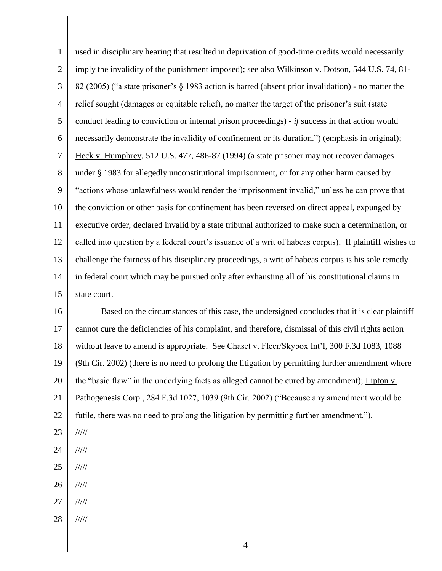1 2 3 4 5 6 7 8 9 10 11 12 13 14 15 used in disciplinary hearing that resulted in deprivation of good-time credits would necessarily imply the invalidity of the punishment imposed); see also Wilkinson v. Dotson, 544 U.S. 74, 81- 82 (2005) ("a state prisoner's § 1983 action is barred (absent prior invalidation) - no matter the relief sought (damages or equitable relief), no matter the target of the prisoner's suit (state conduct leading to conviction or internal prison proceedings) - *if* success in that action would necessarily demonstrate the invalidity of confinement or its duration.") (emphasis in original); Heck v. Humphrey, 512 U.S. 477, 486-87 (1994) (a state prisoner may not recover damages under § 1983 for allegedly unconstitutional imprisonment, or for any other harm caused by "actions whose unlawfulness would render the imprisonment invalid," unless he can prove that the conviction or other basis for confinement has been reversed on direct appeal, expunged by executive order, declared invalid by a state tribunal authorized to make such a determination, or called into question by a federal court's issuance of a writ of habeas corpus). If plaintiff wishes to challenge the fairness of his disciplinary proceedings, a writ of habeas corpus is his sole remedy in federal court which may be pursued only after exhausting all of his constitutional claims in state court.

16 17 18 19 20 21 22 Based on the circumstances of this case, the undersigned concludes that it is clear plaintiff cannot cure the deficiencies of his complaint, and therefore, dismissal of this civil rights action without leave to amend is appropriate. See Chaset v. Fleer/Skybox Int'l, 300 F.3d 1083, 1088 (9th Cir. 2002) (there is no need to prolong the litigation by permitting further amendment where the "basic flaw" in the underlying facts as alleged cannot be cured by amendment); Lipton v. Pathogenesis Corp., 284 F.3d 1027, 1039 (9th Cir. 2002) ("Because any amendment would be futile, there was no need to prolong the litigation by permitting further amendment.").

- 23 /////
- 24 /////
- 25 /////
- 26 /////
- 27 /////
- 28 /////